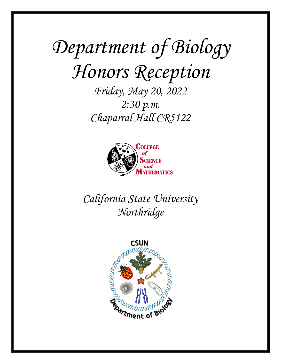# *Department of Biology Honors Reception*

 *Chaparral Hall CR5122 Friday, May 20, 2022 2:30 p.m.* 



*California State University Northridge* 

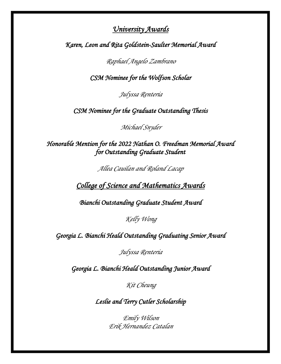# *University Awards*

*Karen, Leon and Rita Goldstein-Saulter Memorial Award* 

*Raphael Angelo Zambrano* 

*CSM Nominee for the Wolfson Scholar* 

*Julyssa Renteria* 

*CSM Nominee for the Graduate Outstanding Thesis* 

*Michael Snyder* 

*Honorable Mention for the 2022 Nathan O. Freedman Memorial Award for Outstanding Graduate Student* 

*Allea Cauilan and Roland Lacap* 

*College of Science and Mathematics Awards* 

*Bianchi Outstanding Graduate Student Award* 

*Kelly Wong* 

*Georgia L. Bianchi Heald Outstanding Graduating Senior Award* 

*Julyssa Renteria* 

*Georgia L. Bianchi Heald Outstanding Junior Award* 

*Kit Cheung* 

*Leslie and Terry Cutler Scholarship* 

*Emily Wilson Erik Hernandez Catalan*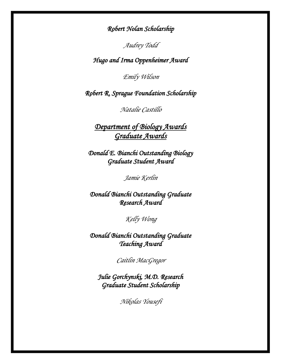*Robert Nolan Scholarship* 

*Audrey Todd* 

*Hugo and Irma Oppenheimer Award* 

*Emily Wilson* 

*Robert R. Sprague Foundation Scholarship* 

*Natalie Castillo* 

*Department of Biology Awards Graduate Awards* 

*Donald E. Bianchi Outstanding Biology Graduate Student Award* 

*Jamie Kerlin* 

*Donald Bianchi Outstanding Graduate Research Award* 

*Kelly Wong* 

*Donald Bianchi Outstanding Graduate Teaching Award* 

*Caitlin MacGregor* 

*Julie Gorchynski, M.D. Research Graduate Student Scholarship* 

*Nikolas Yousefi*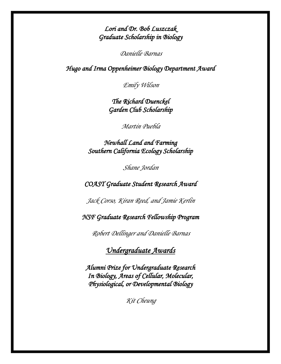*Lori and Dr. Bob Luszczak Graduate Scholarship in Biology* 

*Danielle Barnas* 

*Hugo and Irma Oppenheimer Biology Department Award* 

*Emily Wilson* 

*The Richard Duenckel Garden Club Scholarship* 

*Martin Puebla* 

*Newhall Land and Farming Southern California Ecology Scholarship* 

*Shane Jordan* 

*COAST Graduate Student Research Award* 

*Jack Corso, Kiran Reed, and Jamie Kerlin* 

*NSF Graduate Research Fellowship Program* 

*Robert Dellinger and Danielle Barnas* 

# *Undergraduate Awards*

*Alumni Prize for Undergraduate Research In Biology, Areas of Cellular, Molecular, Physiological, or Developmental Biology* 

*Kit Cheung*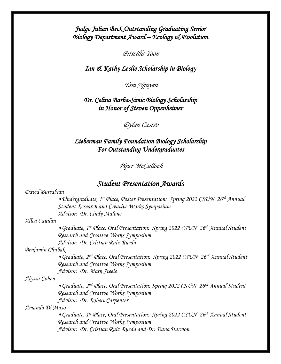*Judge Julian Beck Outstanding Graduating Senior Biology Department Award – Ecology & Evolution* 

*Priscilla Yoon* 

*Ian & Kathy Leslie Scholarship in Biology* 

*Tam Nguyen* 

*Dr. Celina Barba-Simic Biology Scholarship in Honor of Steven Oppenheimer* 

*Dylan Castro* 

# *Lieberman Family Foundation Biology Scholarship For Outstanding Undergraduates*

*Piper McCulloch* 

# *Student Presentation Awards*

*David Bursalyan* 

*•Undergraduate, 1st Place, Poster Presentation: Spring 2022 CSUN 26th Annual Student Research and Creative Works Symposium Advisor: Dr. Cindy Malone* 

*Allea Cauilan* 

 *Advisor: Dr. Cristian Ruiz Rueda •Graduate, 1st Place, Oral Presentation: Spring 2022 CSUN 26th Annual Student Research and Creative Works Symposium* 

*Benjamin Chubak* 

 *•Graduate, 2nd Place, Oral Presentation: Spring 2022 CSUN 26th Annual Student Research and Creative Works Symposium Advisor: Dr. Mark Steele* 

*Alyssa Cohen* 

 *•Graduate, 2nd Place, Oral Presentation: Spring 2022 CSUN 26th Annual Student Research and Creative Works Symposium Advisor: Dr. Robert Carpenter* 

 *Amanda Di Maso* 

 *•Graduate, 1st Place, Oral Presentation: Spring 2022 CSUN 26th Annual Student Research and Creative Works Symposium Advisor: Dr. Cristian Ruiz Rueda and Dr. Dana Harmon*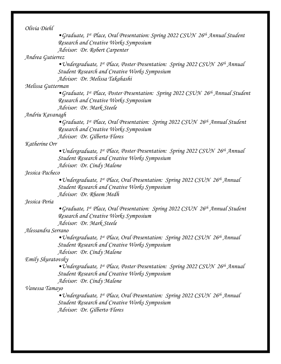## *Olivia Diehl*

*•Graduate, 1st Place, Oral Presentation: Spring 2022 CSUN 26th Annual Student Research and Creative Works Symposium Advisor: Dr. Robert Carpenter* 

#### *Andrea Gutierrez*

 *•Undergraduate, 1st Place, Poster Presentation: Spring 2022 CSUN 26th Annual Student Research and Creative Works Symposium Advisor: Dr. Melissa Takahashi* 

#### *Melissa Gutterman*

 *•Graduate, 1st Place, Poster Presentation: Spring 2022 CSUN 26th Annual Student Research and Creative Works Symposium Advisor: Dr. Mark Steele* 

#### *Andriu Kavanagh*

 *•Graduate, 1st Place, Oral Presentation: Spring 2022 CSUN 26th Annual Student Research and Creative Works Symposium* 

 *Advisor: Dr. Gilberto Flores* 

## *Katherine Orr*

 *•Undergraduate, 1st Place, Poster Presentation: Spring 2022 CSUN 26th Annual Student Research and Creative Works Symposium Advisor: Dr. Cindy Malone* 

## *Jessica Pacheco*

 *•Undergraduate, 1st Place, Oral Presentation: Spring 2022 CSUN 26th Annual Student Research and Creative Works Symposium Advisor: Dr. Rheem Medh* 

# *Jessica Peria*

 *•Graduate, 1st Place, Oral Presentation: Spring 2022 CSUN 26th Annual Student Research and Creative Works Symposium Advisor: Dr. Mark Steele* 

## *Alessandra Serrano*

 *•Undergraduate, 1st Place, Oral Presentation: Spring 2022 CSUN 26th Annual Student Research and Creative Works Symposium Advisor: Dr. Cindy Malone* 

## *Emily Skuratovsky*

 *Student Research and Creative Works Symposium Advisor: Dr. Cindy Malone •Undergraduate, 1st Place, Poster Presentation: Spring 2022 CSUN 26th Annual* 

### *Vanessa Tamayo*

 *•Undergraduate, 1st Place, Oral Presentation: Spring 2022 CSUN 26th Annual Student Research and Creative Works Symposium Advisor: Dr. Gilberto Flores*